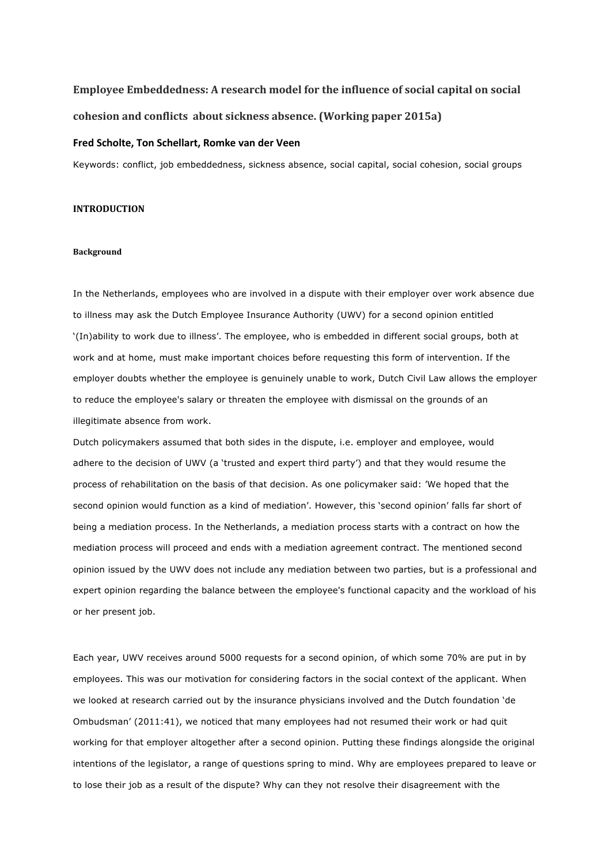# **Employee Embeddedness:** A research model for the influence of social capital on social **cohesion and conflicts about sickness absence. (Working paper 2015a)**

## **Fred Scholte, Ton Schellart, Romke van der Veen**

Keywords: conflict, job embeddedness, sickness absence, social capital, social cohesion, social groups

# **INTRODUCTION**

## **Background**

In the Netherlands, employees who are involved in a dispute with their employer over work absence due to illness may ask the Dutch Employee Insurance Authority (UWV) for a second opinion entitled '(In)ability to work due to illness'. The employee, who is embedded in different social groups, both at work and at home, must make important choices before requesting this form of intervention. If the employer doubts whether the employee is genuinely unable to work, Dutch Civil Law allows the employer to reduce the employee's salary or threaten the employee with dismissal on the grounds of an illegitimate absence from work.

Dutch policymakers assumed that both sides in the dispute, i.e. employer and employee, would adhere to the decision of UWV (a 'trusted and expert third party') and that they would resume the process of rehabilitation on the basis of that decision. As one policymaker said: 'We hoped that the second opinion would function as a kind of mediation'. However, this 'second opinion' falls far short of being a mediation process. In the Netherlands, a mediation process starts with a contract on how the mediation process will proceed and ends with a mediation agreement contract. The mentioned second opinion issued by the UWV does not include any mediation between two parties, but is a professional and expert opinion regarding the balance between the employee's functional capacity and the workload of his or her present job.

Each year, UWV receives around 5000 requests for a second opinion, of which some 70% are put in by employees. This was our motivation for considering factors in the social context of the applicant. When we looked at research carried out by the insurance physicians involved and the Dutch foundation 'de Ombudsman' (2011:41), we noticed that many employees had not resumed their work or had quit working for that employer altogether after a second opinion. Putting these findings alongside the original intentions of the legislator, a range of questions spring to mind. Why are employees prepared to leave or to lose their job as a result of the dispute? Why can they not resolve their disagreement with the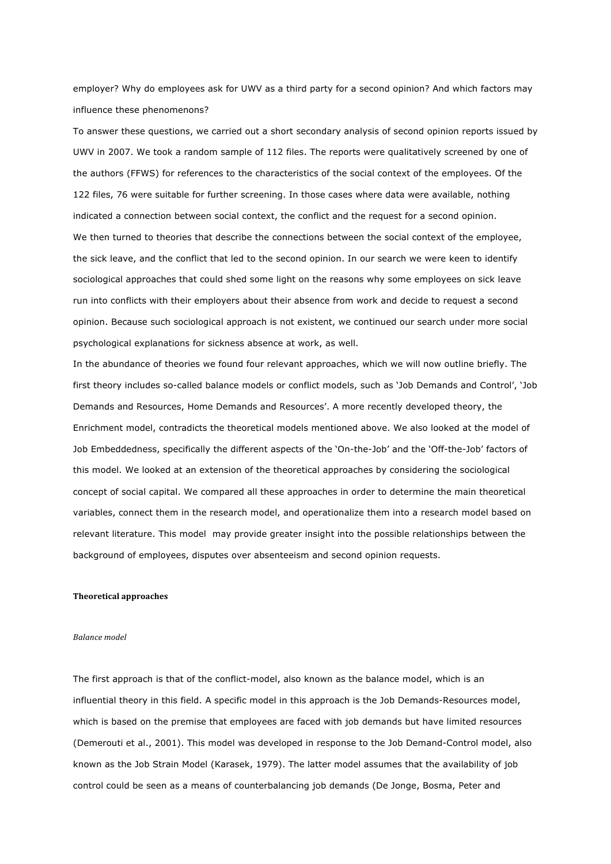employer? Why do employees ask for UWV as a third party for a second opinion? And which factors may influence these phenomenons?

To answer these questions, we carried out a short secondary analysis of second opinion reports issued by UWV in 2007. We took a random sample of 112 files. The reports were qualitatively screened by one of the authors (FFWS) for references to the characteristics of the social context of the employees. Of the 122 files, 76 were suitable for further screening. In those cases where data were available, nothing indicated a connection between social context, the conflict and the request for a second opinion. We then turned to theories that describe the connections between the social context of the employee, the sick leave, and the conflict that led to the second opinion. In our search we were keen to identify sociological approaches that could shed some light on the reasons why some employees on sick leave run into conflicts with their employers about their absence from work and decide to request a second opinion. Because such sociological approach is not existent, we continued our search under more social psychological explanations for sickness absence at work, as well.

In the abundance of theories we found four relevant approaches, which we will now outline briefly. The first theory includes so-called balance models or conflict models, such as 'Job Demands and Control', 'Job Demands and Resources, Home Demands and Resources'. A more recently developed theory, the Enrichment model, contradicts the theoretical models mentioned above. We also looked at the model of Job Embeddedness, specifically the different aspects of the 'On-the-Job' and the 'Off-the-Job' factors of this model. We looked at an extension of the theoretical approaches by considering the sociological concept of social capital. We compared all these approaches in order to determine the main theoretical variables, connect them in the research model, and operationalize them into a research model based on relevant literature. This model may provide greater insight into the possible relationships between the background of employees, disputes over absenteeism and second opinion requests.

#### **Theoretical approaches**

#### *Balance model*

The first approach is that of the conflict-model, also known as the balance model, which is an influential theory in this field. A specific model in this approach is the Job Demands-Resources model, which is based on the premise that employees are faced with job demands but have limited resources (Demerouti et al., 2001). This model was developed in response to the Job Demand-Control model, also known as the Job Strain Model (Karasek, 1979). The latter model assumes that the availability of job control could be seen as a means of counterbalancing job demands (De Jonge, Bosma, Peter and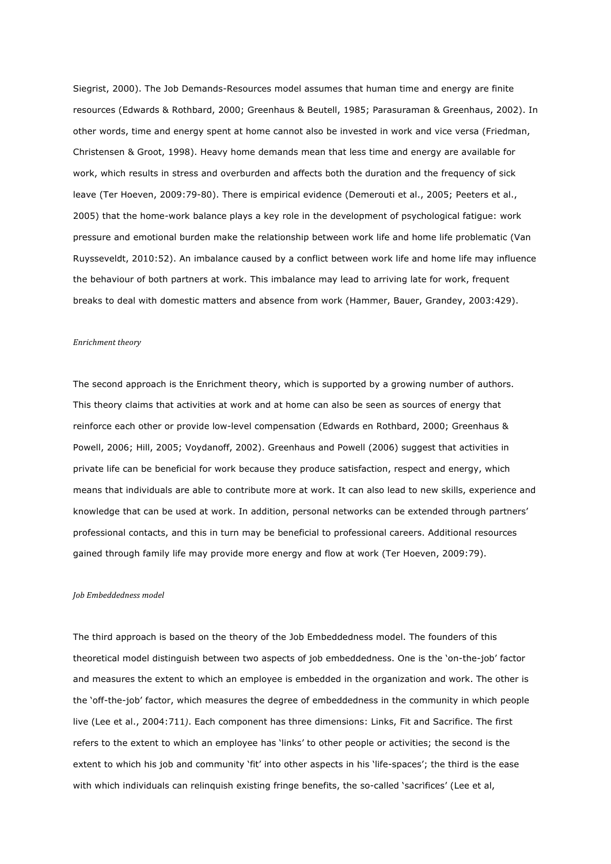Siegrist, 2000). The Job Demands-Resources model assumes that human time and energy are finite resources (Edwards & Rothbard, 2000; Greenhaus & Beutell, 1985; Parasuraman & Greenhaus, 2002). In other words, time and energy spent at home cannot also be invested in work and vice versa (Friedman, Christensen & Groot, 1998). Heavy home demands mean that less time and energy are available for work, which results in stress and overburden and affects both the duration and the frequency of sick leave (Ter Hoeven, 2009:79-80). There is empirical evidence (Demerouti et al., 2005; Peeters et al., 2005) that the home-work balance plays a key role in the development of psychological fatigue: work pressure and emotional burden make the relationship between work life and home life problematic (Van Ruysseveldt, 2010:52). An imbalance caused by a conflict between work life and home life may influence the behaviour of both partners at work. This imbalance may lead to arriving late for work, frequent breaks to deal with domestic matters and absence from work (Hammer, Bauer, Grandey, 2003:429).

#### *Enrichment theory*

The second approach is the Enrichment theory, which is supported by a growing number of authors. This theory claims that activities at work and at home can also be seen as sources of energy that reinforce each other or provide low-level compensation (Edwards en Rothbard, 2000; Greenhaus & Powell, 2006; Hill, 2005; Voydanoff, 2002). Greenhaus and Powell (2006) suggest that activities in private life can be beneficial for work because they produce satisfaction, respect and energy, which means that individuals are able to contribute more at work. It can also lead to new skills, experience and knowledge that can be used at work. In addition, personal networks can be extended through partners' professional contacts, and this in turn may be beneficial to professional careers. Additional resources gained through family life may provide more energy and flow at work (Ter Hoeven, 2009:79).

#### *Job Embeddedness model*

The third approach is based on the theory of the Job Embeddedness model. The founders of this theoretical model distinguish between two aspects of job embeddedness. One is the 'on-the-job' factor and measures the extent to which an employee is embedded in the organization and work. The other is the 'off-the-job' factor, which measures the degree of embeddedness in the community in which people live (Lee et al., 2004:711*)*. Each component has three dimensions: Links, Fit and Sacrifice. The first refers to the extent to which an employee has 'links' to other people or activities; the second is the extent to which his job and community 'fit' into other aspects in his 'life-spaces'; the third is the ease with which individuals can relinquish existing fringe benefits, the so-called 'sacrifices' (Lee et al,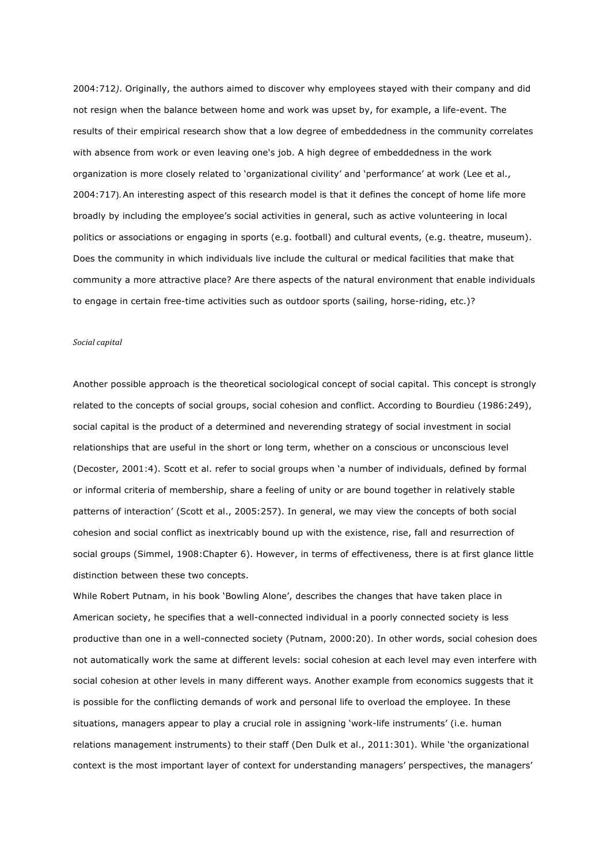2004:712*)*. Originally, the authors aimed to discover why employees stayed with their company and did not resign when the balance between home and work was upset by, for example, a life-event. The results of their empirical research show that a low degree of embeddedness in the community correlates with absence from work or even leaving one's job. A high degree of embeddedness in the work organization is more closely related to 'organizational civility' and 'performance' at work (Lee et al., 2004:717). An interesting aspect of this research model is that it defines the concept of home life more broadly by including the employee's social activities in general, such as active volunteering in local politics or associations or engaging in sports (e.g. football) and cultural events, (e.g. theatre, museum). Does the community in which individuals live include the cultural or medical facilities that make that community a more attractive place? Are there aspects of the natural environment that enable individuals to engage in certain free-time activities such as outdoor sports (sailing, horse-riding, etc.)?

#### *Social capital*

Another possible approach is the theoretical sociological concept of social capital. This concept is strongly related to the concepts of social groups, social cohesion and conflict. According to Bourdieu (1986:249), social capital is the product of a determined and neverending strategy of social investment in social relationships that are useful in the short or long term, whether on a conscious or unconscious level (Decoster, 2001:4). Scott et al. refer to social groups when 'a number of individuals, defined by formal or informal criteria of membership, share a feeling of unity or are bound together in relatively stable patterns of interaction' (Scott et al., 2005:257). In general, we may view the concepts of both social cohesion and social conflict as inextricably bound up with the existence, rise, fall and resurrection of social groups (Simmel, 1908:Chapter 6). However, in terms of effectiveness, there is at first glance little distinction between these two concepts.

While Robert Putnam, in his book 'Bowling Alone', describes the changes that have taken place in American society, he specifies that a well-connected individual in a poorly connected society is less productive than one in a well-connected society (Putnam, 2000:20). In other words, social cohesion does not automatically work the same at different levels: social cohesion at each level may even interfere with social cohesion at other levels in many different ways. Another example from economics suggests that it is possible for the conflicting demands of work and personal life to overload the employee. In these situations, managers appear to play a crucial role in assigning 'work-life instruments' (i.e. human relations management instruments) to their staff (Den Dulk et al., 2011:301). While 'the organizational context is the most important layer of context for understanding managers' perspectives, the managers'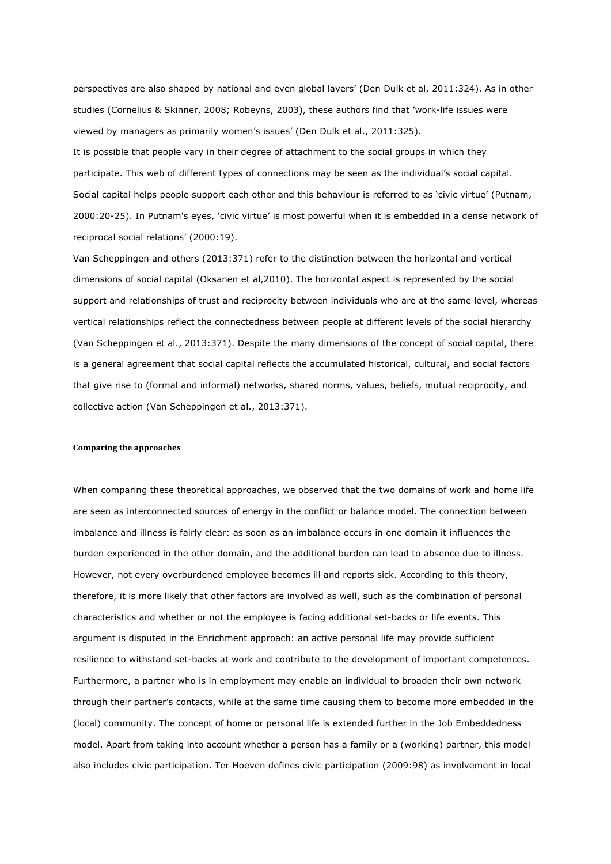perspectives are also shaped by national and even global layers' (Den Dulk et al, 2011:324). As in other studies (Cornelius & Skinner, 2008; Robeyns, 2003), these authors find that 'work-life issues were viewed by managers as primarily women's issues' (Den Dulk et al., 2011:325).

It is possible that people vary in their degree of attachment to the social groups in which they participate. This web of different types of connections may be seen as the individual's social capital. Social capital helps people support each other and this behaviour is referred to as 'civic virtue' (Putnam, 2000:20-25). In Putnam's eyes, 'civic virtue' is most powerful when it is embedded in a dense network of reciprocal social relations' (2000:19).

Van Scheppingen and others (2013:371) refer to the distinction between the horizontal and vertical dimensions of social capital (Oksanen et al,2010). The horizontal aspect is represented by the social support and relationships of trust and reciprocity between individuals who are at the same level, whereas vertical relationships reflect the connectedness between people at different levels of the social hierarchy (Van Scheppingen et al., 2013:371). Despite the many dimensions of the concept of social capital, there is a general agreement that social capital reflects the accumulated historical, cultural, and social factors that give rise to (formal and informal) networks, shared norms, values, beliefs, mutual reciprocity, and collective action (Van Scheppingen et al., 2013:371).

#### **Comparing the approaches**

When comparing these theoretical approaches, we observed that the two domains of work and home life are seen as interconnected sources of energy in the conflict or balance model. The connection between imbalance and illness is fairly clear: as soon as an imbalance occurs in one domain it influences the burden experienced in the other domain, and the additional burden can lead to absence due to illness. However, not every overburdened employee becomes ill and reports sick. According to this theory, therefore, it is more likely that other factors are involved as well, such as the combination of personal characteristics and whether or not the employee is facing additional set-backs or life events. This argument is disputed in the Enrichment approach: an active personal life may provide sufficient resilience to withstand set-backs at work and contribute to the development of important competences. Furthermore, a partner who is in employment may enable an individual to broaden their own network through their partner's contacts, while at the same time causing them to become more embedded in the (local) community. The concept of home or personal life is extended further in the Job Embeddedness model. Apart from taking into account whether a person has a family or a (working) partner, this model also includes civic participation. Ter Hoeven defines civic participation (2009:98) as involvement in local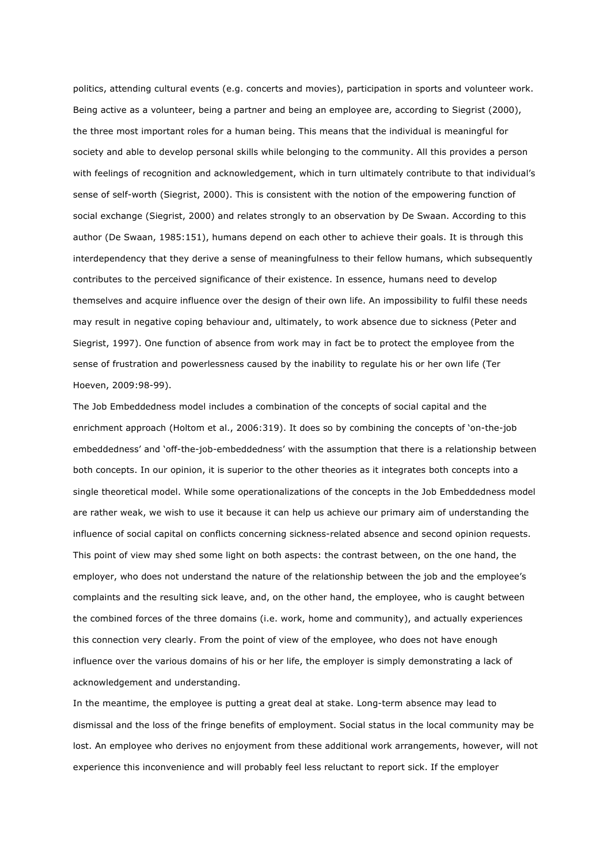politics, attending cultural events (e.g. concerts and movies), participation in sports and volunteer work. Being active as a volunteer, being a partner and being an employee are, according to Siegrist (2000), the three most important roles for a human being. This means that the individual is meaningful for society and able to develop personal skills while belonging to the community. All this provides a person with feelings of recognition and acknowledgement, which in turn ultimately contribute to that individual's sense of self-worth (Siegrist, 2000). This is consistent with the notion of the empowering function of social exchange (Siegrist, 2000) and relates strongly to an observation by De Swaan. According to this author (De Swaan, 1985:151), humans depend on each other to achieve their goals. It is through this interdependency that they derive a sense of meaningfulness to their fellow humans, which subsequently contributes to the perceived significance of their existence. In essence, humans need to develop themselves and acquire influence over the design of their own life. An impossibility to fulfil these needs may result in negative coping behaviour and, ultimately, to work absence due to sickness (Peter and Siegrist, 1997). One function of absence from work may in fact be to protect the employee from the sense of frustration and powerlessness caused by the inability to regulate his or her own life (Ter Hoeven, 2009:98-99).

The Job Embeddedness model includes a combination of the concepts of social capital and the enrichment approach (Holtom et al., 2006:319). It does so by combining the concepts of 'on-the-job embeddedness' and 'off-the-job-embeddedness' with the assumption that there is a relationship between both concepts. In our opinion, it is superior to the other theories as it integrates both concepts into a single theoretical model. While some operationalizations of the concepts in the Job Embeddedness model are rather weak, we wish to use it because it can help us achieve our primary aim of understanding the influence of social capital on conflicts concerning sickness-related absence and second opinion requests. This point of view may shed some light on both aspects: the contrast between, on the one hand, the employer, who does not understand the nature of the relationship between the job and the employee's complaints and the resulting sick leave, and, on the other hand, the employee, who is caught between the combined forces of the three domains (i.e. work, home and community), and actually experiences this connection very clearly. From the point of view of the employee, who does not have enough influence over the various domains of his or her life, the employer is simply demonstrating a lack of acknowledgement and understanding.

In the meantime, the employee is putting a great deal at stake. Long-term absence may lead to dismissal and the loss of the fringe benefits of employment. Social status in the local community may be lost. An employee who derives no enjoyment from these additional work arrangements, however, will not experience this inconvenience and will probably feel less reluctant to report sick. If the employer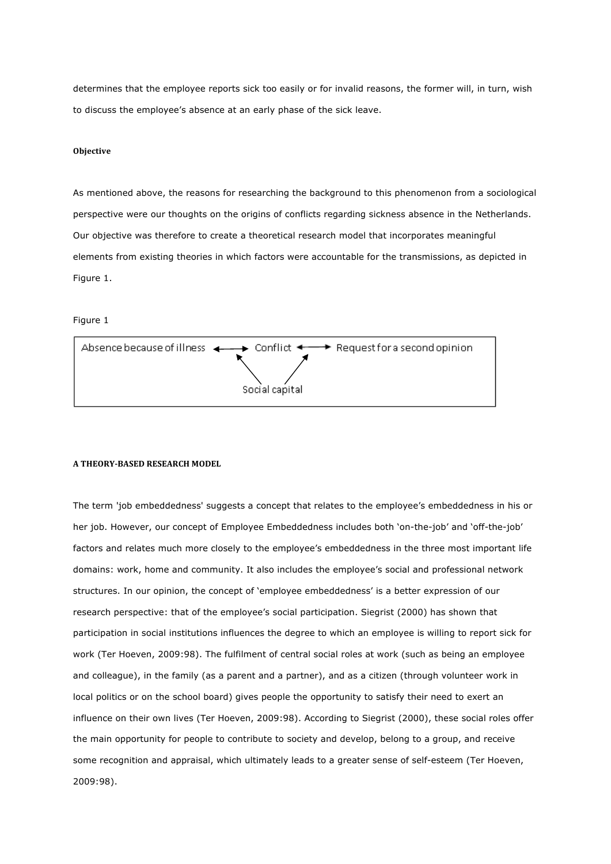determines that the employee reports sick too easily or for invalid reasons, the former will, in turn, wish to discuss the employee's absence at an early phase of the sick leave.

## **Objective**

As mentioned above, the reasons for researching the background to this phenomenon from a sociological perspective were our thoughts on the origins of conflicts regarding sickness absence in the Netherlands. Our objective was therefore to create a theoretical research model that incorporates meaningful elements from existing theories in which factors were accountable for the transmissions, as depicted in Figure 1.

## Figure 1



#### **A THEORY-BASED RESEARCH MODEL**

The term 'job embeddedness' suggests a concept that relates to the employee's embeddedness in his or her job. However, our concept of Employee Embeddedness includes both 'on-the-job' and 'off-the-job' factors and relates much more closely to the employee's embeddedness in the three most important life domains: work, home and community. It also includes the employee's social and professional network structures. In our opinion, the concept of 'employee embeddedness' is a better expression of our research perspective: that of the employee's social participation. Siegrist (2000) has shown that participation in social institutions influences the degree to which an employee is willing to report sick for work (Ter Hoeven, 2009:98). The fulfilment of central social roles at work (such as being an employee and colleague), in the family (as a parent and a partner), and as a citizen (through volunteer work in local politics or on the school board) gives people the opportunity to satisfy their need to exert an influence on their own lives (Ter Hoeven, 2009:98). According to Siegrist (2000), these social roles offer the main opportunity for people to contribute to society and develop, belong to a group, and receive some recognition and appraisal, which ultimately leads to a greater sense of self-esteem (Ter Hoeven, 2009:98).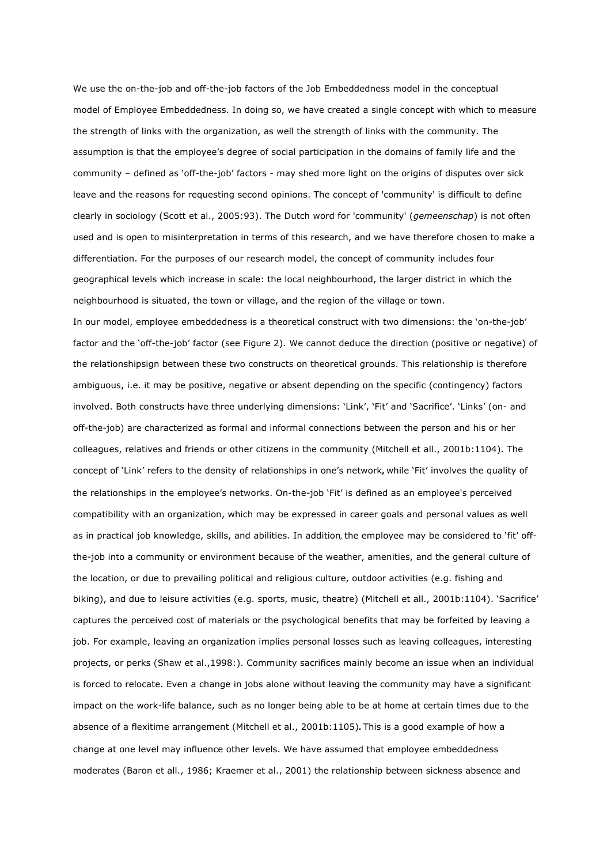We use the on-the-job and off-the-job factors of the Job Embeddedness model in the conceptual model of Employee Embeddedness. In doing so, we have created a single concept with which to measure the strength of links with the organization, as well the strength of links with the community. The assumption is that the employee's degree of social participation in the domains of family life and the community – defined as 'off-the-job' factors - may shed more light on the origins of disputes over sick leave and the reasons for requesting second opinions. The concept of 'community' is difficult to define clearly in sociology (Scott et al., 2005:93). The Dutch word for 'community' (*gemeenschap*) is not often used and is open to misinterpretation in terms of this research, and we have therefore chosen to make a differentiation. For the purposes of our research model, the concept of community includes four geographical levels which increase in scale: the local neighbourhood, the larger district in which the neighbourhood is situated, the town or village, and the region of the village or town.

In our model, employee embeddedness is a theoretical construct with two dimensions: the 'on-the-job' factor and the 'off-the-job' factor (see Figure 2). We cannot deduce the direction (positive or negative) of the relationshipsign between these two constructs on theoretical grounds. This relationship is therefore ambiguous, i.e. it may be positive, negative or absent depending on the specific (contingency) factors involved. Both constructs have three underlying dimensions: 'Link', 'Fit' and 'Sacrifice'. 'Links' (on- and off-the-job) are characterized as formal and informal connections between the person and his or her colleagues, relatives and friends or other citizens in the community (Mitchell et all., 2001b:1104). The concept of 'Link' refers to the density of relationships in one's network, while 'Fit' involves the quality of the relationships in the employee's networks. On-the-job 'Fit' is defined as an employee's perceived compatibility with an organization, which may be expressed in career goals and personal values as well as in practical job knowledge, skills, and abilities. In addition, the employee may be considered to 'fit' offthe-job into a community or environment because of the weather, amenities, and the general culture of the location, or due to prevailing political and religious culture, outdoor activities (e.g. fishing and biking), and due to leisure activities (e.g. sports, music, theatre) (Mitchell et all., 2001b:1104). 'Sacrifice' captures the perceived cost of materials or the psychological benefits that may be forfeited by leaving a job. For example, leaving an organization implies personal losses such as leaving colleagues, interesting projects, or perks (Shaw et al.,1998:). Community sacrifices mainly become an issue when an individual is forced to relocate. Even a change in jobs alone without leaving the community may have a significant impact on the work-life balance, such as no longer being able to be at home at certain times due to the absence of a flexitime arrangement (Mitchell et al., 2001b:1105). This is a good example of how a change at one level may influence other levels. We have assumed that employee embeddedness moderates (Baron et all., 1986; Kraemer et al., 2001) the relationship between sickness absence and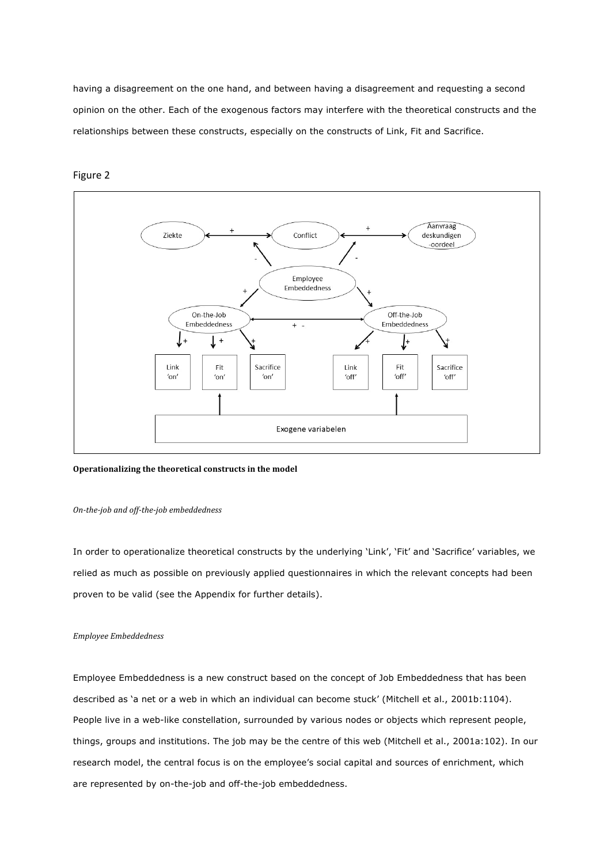having a disagreement on the one hand, and between having a disagreement and requesting a second opinion on the other. Each of the exogenous factors may interfere with the theoretical constructs and the relationships between these constructs, especially on the constructs of Link, Fit and Sacrifice.



# Figure 2

## **Operationalizing the theoretical constructs in the model**

## *On-the-job and off-the-job embeddedness*

In order to operationalize theoretical constructs by the underlying 'Link', 'Fit' and 'Sacrifice' variables, we relied as much as possible on previously applied questionnaires in which the relevant concepts had been proven to be valid (see the Appendix for further details).

## *Employee Embeddedness*

Employee Embeddedness is a new construct based on the concept of Job Embeddedness that has been described as 'a net or a web in which an individual can become stuck' (Mitchell et al., 2001b:1104). People live in a web-like constellation, surrounded by various nodes or objects which represent people, things, groups and institutions. The job may be the centre of this web (Mitchell et al., 2001a:102). In our research model, the central focus is on the employee's social capital and sources of enrichment, which are represented by on-the-job and off-the-job embeddedness.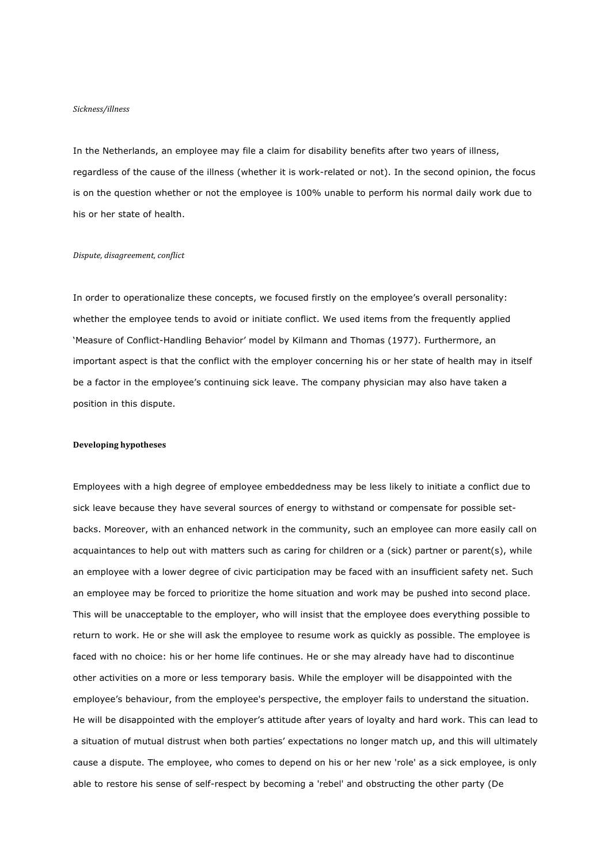#### *Sickness/illness*

In the Netherlands, an employee may file a claim for disability benefits after two years of illness, regardless of the cause of the illness (whether it is work-related or not). In the second opinion, the focus is on the question whether or not the employee is 100% unable to perform his normal daily work due to his or her state of health.

#### *Dispute, disagreement, conflict*

In order to operationalize these concepts, we focused firstly on the employee's overall personality: whether the employee tends to avoid or initiate conflict. We used items from the frequently applied 'Measure of Conflict-Handling Behavior' model by Kilmann and Thomas (1977). Furthermore, an important aspect is that the conflict with the employer concerning his or her state of health may in itself be a factor in the employee's continuing sick leave. The company physician may also have taken a position in this dispute.

#### **Developing hypotheses**

Employees with a high degree of employee embeddedness may be less likely to initiate a conflict due to sick leave because they have several sources of energy to withstand or compensate for possible setbacks. Moreover, with an enhanced network in the community, such an employee can more easily call on acquaintances to help out with matters such as caring for children or a (sick) partner or parent(s), while an employee with a lower degree of civic participation may be faced with an insufficient safety net. Such an employee may be forced to prioritize the home situation and work may be pushed into second place. This will be unacceptable to the employer, who will insist that the employee does everything possible to return to work. He or she will ask the employee to resume work as quickly as possible. The employee is faced with no choice: his or her home life continues. He or she may already have had to discontinue other activities on a more or less temporary basis. While the employer will be disappointed with the employee's behaviour, from the employee's perspective, the employer fails to understand the situation. He will be disappointed with the employer's attitude after years of loyalty and hard work. This can lead to a situation of mutual distrust when both parties' expectations no longer match up, and this will ultimately cause a dispute. The employee, who comes to depend on his or her new 'role' as a sick employee, is only able to restore his sense of self-respect by becoming a 'rebel' and obstructing the other party (De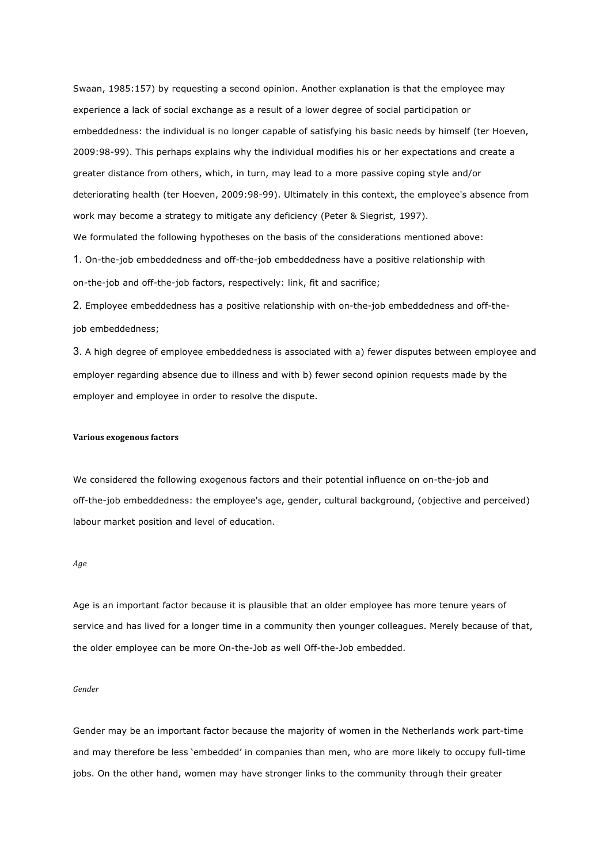Swaan, 1985:157) by requesting a second opinion. Another explanation is that the employee may experience a lack of social exchange as a result of a lower degree of social participation or embeddedness: the individual is no longer capable of satisfying his basic needs by himself (ter Hoeven, 2009:98-99). This perhaps explains why the individual modifies his or her expectations and create a greater distance from others, which, in turn, may lead to a more passive coping style and/or deteriorating health (ter Hoeven, 2009:98-99). Ultimately in this context, the employee's absence from work may become a strategy to mitigate any deficiency (Peter & Siegrist, 1997). We formulated the following hypotheses on the basis of the considerations mentioned above: 1. On-the-job embeddedness and off-the-job embeddedness have a positive relationship with

on-the-job and off-the-job factors, respectively: link, fit and sacrifice;

2. Employee embeddedness has a positive relationship with on-the-job embeddedness and off-thejob embeddedness;

3. A high degree of employee embeddedness is associated with a) fewer disputes between employee and employer regarding absence due to illness and with b) fewer second opinion requests made by the employer and employee in order to resolve the dispute.

#### **Various exogenous factors**

We considered the following exogenous factors and their potential influence on on-the-job and off-the-job embeddedness: the employee's age, gender, cultural background, (objective and perceived) labour market position and level of education.

#### *Age*

Age is an important factor because it is plausible that an older employee has more tenure years of service and has lived for a longer time in a community then younger colleagues. Merely because of that, the older employee can be more On-the-Job as well Off-the-Job embedded.

## *Gender*

Gender may be an important factor because the majority of women in the Netherlands work part-time and may therefore be less 'embedded' in companies than men, who are more likely to occupy full-time jobs. On the other hand, women may have stronger links to the community through their greater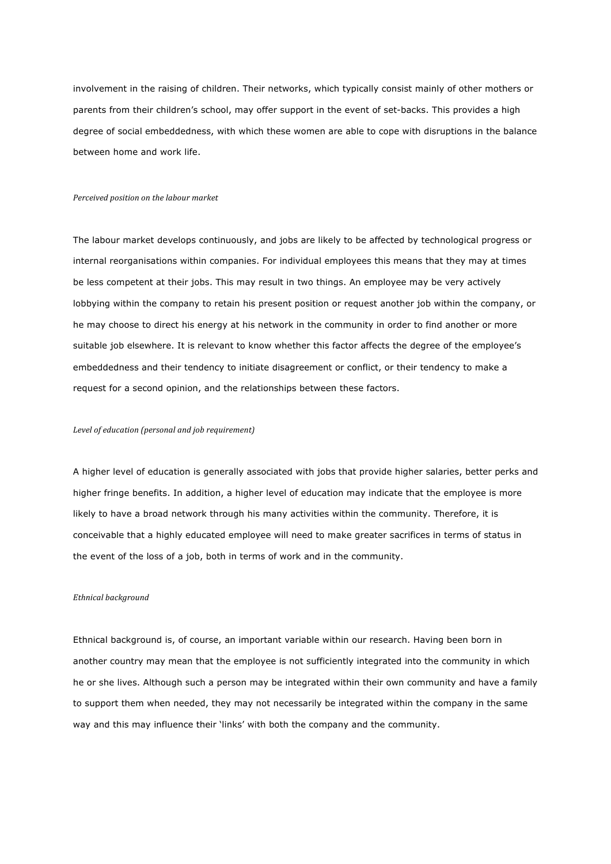involvement in the raising of children. Their networks, which typically consist mainly of other mothers or parents from their children's school, may offer support in the event of set-backs. This provides a high degree of social embeddedness, with which these women are able to cope with disruptions in the balance between home and work life.

#### *Perceived position on the labour market*

The labour market develops continuously, and jobs are likely to be affected by technological progress or internal reorganisations within companies. For individual employees this means that they may at times be less competent at their jobs. This may result in two things. An employee may be very actively lobbying within the company to retain his present position or request another job within the company, or he may choose to direct his energy at his network in the community in order to find another or more suitable job elsewhere. It is relevant to know whether this factor affects the degree of the employee's embeddedness and their tendency to initiate disagreement or conflict, or their tendency to make a request for a second opinion, and the relationships between these factors.

#### Level of education (personal and job requirement)

A higher level of education is generally associated with jobs that provide higher salaries, better perks and higher fringe benefits. In addition, a higher level of education may indicate that the employee is more likely to have a broad network through his many activities within the community. Therefore, it is conceivable that a highly educated employee will need to make greater sacrifices in terms of status in the event of the loss of a job, both in terms of work and in the community.

#### *Ethnical background*

Ethnical background is, of course, an important variable within our research. Having been born in another country may mean that the employee is not sufficiently integrated into the community in which he or she lives. Although such a person may be integrated within their own community and have a family to support them when needed, they may not necessarily be integrated within the company in the same way and this may influence their 'links' with both the company and the community.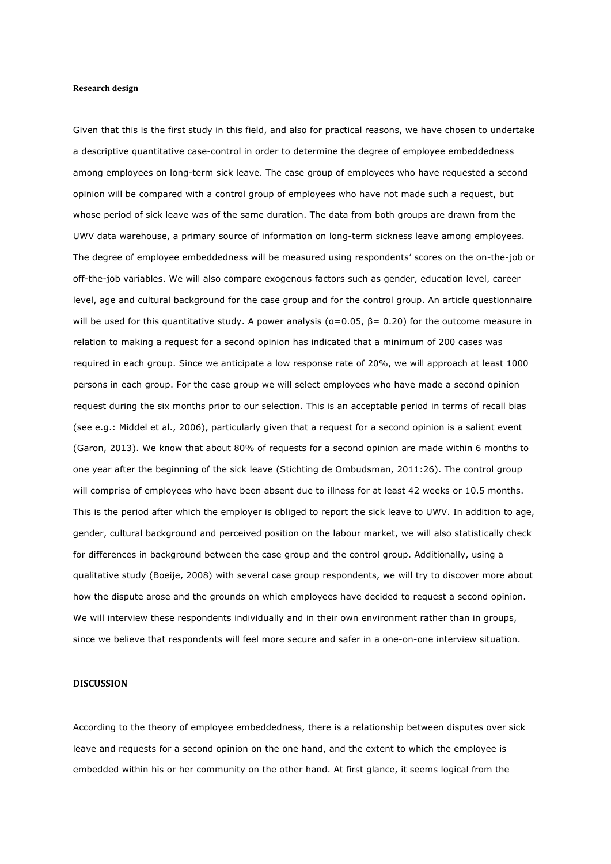#### **Research design**

Given that this is the first study in this field, and also for practical reasons, we have chosen to undertake a descriptive quantitative case-control in order to determine the degree of employee embeddedness among employees on long-term sick leave. The case group of employees who have requested a second opinion will be compared with a control group of employees who have not made such a request, but whose period of sick leave was of the same duration. The data from both groups are drawn from the UWV data warehouse, a primary source of information on long-term sickness leave among employees. The degree of employee embeddedness will be measured using respondents' scores on the on-the-job or off-the-job variables. We will also compare exogenous factors such as gender, education level, career level, age and cultural background for the case group and for the control group. An article questionnaire will be used for this quantitative study. A power analysis ( $a=0.05$ ,  $\beta= 0.20$ ) for the outcome measure in relation to making a request for a second opinion has indicated that a minimum of 200 cases was required in each group. Since we anticipate a low response rate of 20%, we will approach at least 1000 persons in each group. For the case group we will select employees who have made a second opinion request during the six months prior to our selection. This is an acceptable period in terms of recall bias (see e.g.: Middel et al., 2006), particularly given that a request for a second opinion is a salient event (Garon, 2013). We know that about 80% of requests for a second opinion are made within 6 months to one year after the beginning of the sick leave (Stichting de Ombudsman, 2011:26). The control group will comprise of employees who have been absent due to illness for at least 42 weeks or 10.5 months. This is the period after which the employer is obliged to report the sick leave to UWV. In addition to age, gender, cultural background and perceived position on the labour market, we will also statistically check for differences in background between the case group and the control group. Additionally, using a qualitative study (Boeije, 2008) with several case group respondents, we will try to discover more about how the dispute arose and the grounds on which employees have decided to request a second opinion. We will interview these respondents individually and in their own environment rather than in groups, since we believe that respondents will feel more secure and safer in a one-on-one interview situation.

## **DISCUSSION**

According to the theory of employee embeddedness, there is a relationship between disputes over sick leave and requests for a second opinion on the one hand, and the extent to which the employee is embedded within his or her community on the other hand. At first glance, it seems logical from the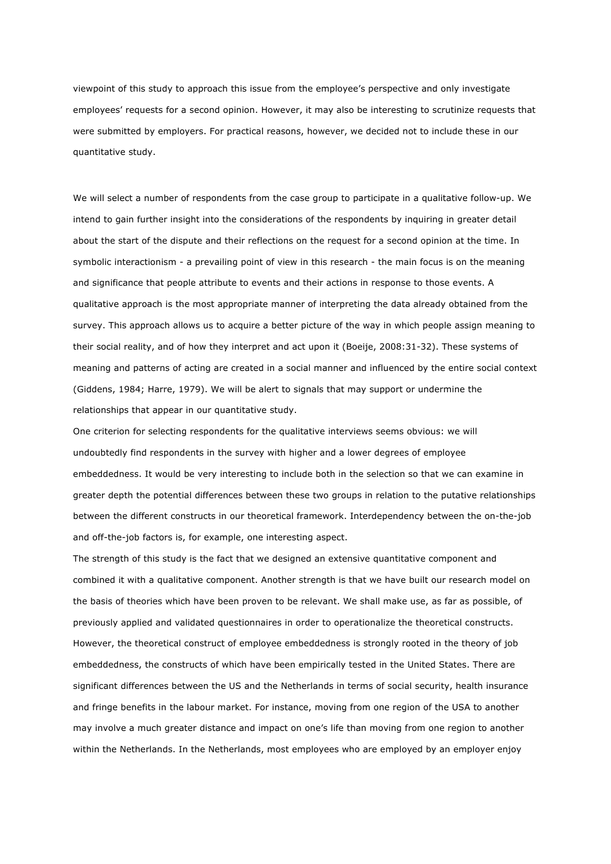viewpoint of this study to approach this issue from the employee's perspective and only investigate employees' requests for a second opinion. However, it may also be interesting to scrutinize requests that were submitted by employers. For practical reasons, however, we decided not to include these in our quantitative study.

We will select a number of respondents from the case group to participate in a qualitative follow-up. We intend to gain further insight into the considerations of the respondents by inquiring in greater detail about the start of the dispute and their reflections on the request for a second opinion at the time. In symbolic interactionism - a prevailing point of view in this research - the main focus is on the meaning and significance that people attribute to events and their actions in response to those events. A qualitative approach is the most appropriate manner of interpreting the data already obtained from the survey. This approach allows us to acquire a better picture of the way in which people assign meaning to their social reality, and of how they interpret and act upon it (Boeije, 2008:31-32). These systems of meaning and patterns of acting are created in a social manner and influenced by the entire social context (Giddens, 1984; Harre, 1979). We will be alert to signals that may support or undermine the relationships that appear in our quantitative study.

One criterion for selecting respondents for the qualitative interviews seems obvious: we will undoubtedly find respondents in the survey with higher and a lower degrees of employee embeddedness. It would be very interesting to include both in the selection so that we can examine in greater depth the potential differences between these two groups in relation to the putative relationships between the different constructs in our theoretical framework. Interdependency between the on-the-job and off-the-job factors is, for example, one interesting aspect.

The strength of this study is the fact that we designed an extensive quantitative component and combined it with a qualitative component. Another strength is that we have built our research model on the basis of theories which have been proven to be relevant. We shall make use, as far as possible, of previously applied and validated questionnaires in order to operationalize the theoretical constructs. However, the theoretical construct of employee embeddedness is strongly rooted in the theory of job embeddedness, the constructs of which have been empirically tested in the United States. There are significant differences between the US and the Netherlands in terms of social security, health insurance and fringe benefits in the labour market. For instance, moving from one region of the USA to another may involve a much greater distance and impact on one's life than moving from one region to another within the Netherlands. In the Netherlands, most employees who are employed by an employer enjoy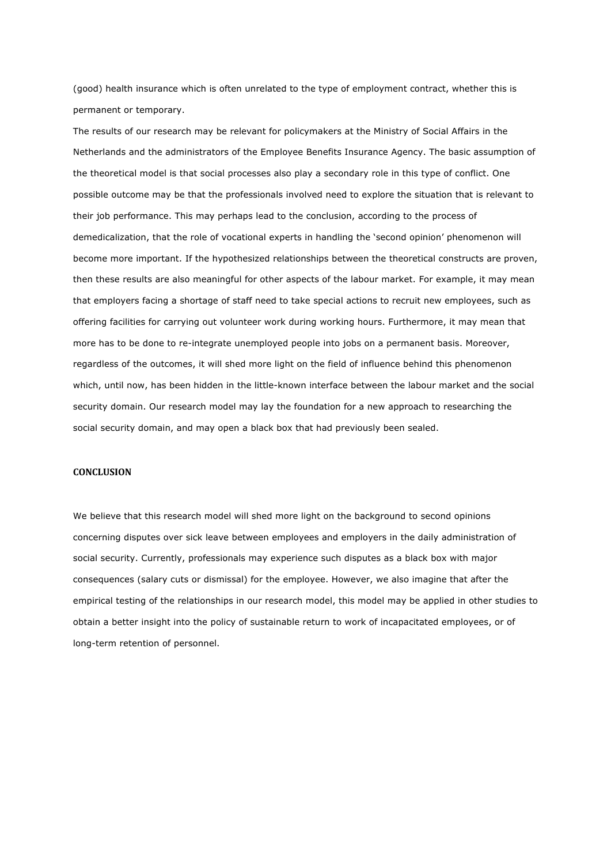(good) health insurance which is often unrelated to the type of employment contract, whether this is permanent or temporary.

The results of our research may be relevant for policymakers at the Ministry of Social Affairs in the Netherlands and the administrators of the Employee Benefits Insurance Agency. The basic assumption of the theoretical model is that social processes also play a secondary role in this type of conflict. One possible outcome may be that the professionals involved need to explore the situation that is relevant to their job performance. This may perhaps lead to the conclusion, according to the process of demedicalization, that the role of vocational experts in handling the 'second opinion' phenomenon will become more important. If the hypothesized relationships between the theoretical constructs are proven, then these results are also meaningful for other aspects of the labour market. For example, it may mean that employers facing a shortage of staff need to take special actions to recruit new employees, such as offering facilities for carrying out volunteer work during working hours. Furthermore, it may mean that more has to be done to re-integrate unemployed people into jobs on a permanent basis. Moreover, regardless of the outcomes, it will shed more light on the field of influence behind this phenomenon which, until now, has been hidden in the little-known interface between the labour market and the social security domain. Our research model may lay the foundation for a new approach to researching the social security domain, and may open a black box that had previously been sealed.

#### **CONCLUSION**

We believe that this research model will shed more light on the background to second opinions concerning disputes over sick leave between employees and employers in the daily administration of social security. Currently, professionals may experience such disputes as a black box with major consequences (salary cuts or dismissal) for the employee. However, we also imagine that after the empirical testing of the relationships in our research model, this model may be applied in other studies to obtain a better insight into the policy of sustainable return to work of incapacitated employees, or of long-term retention of personnel.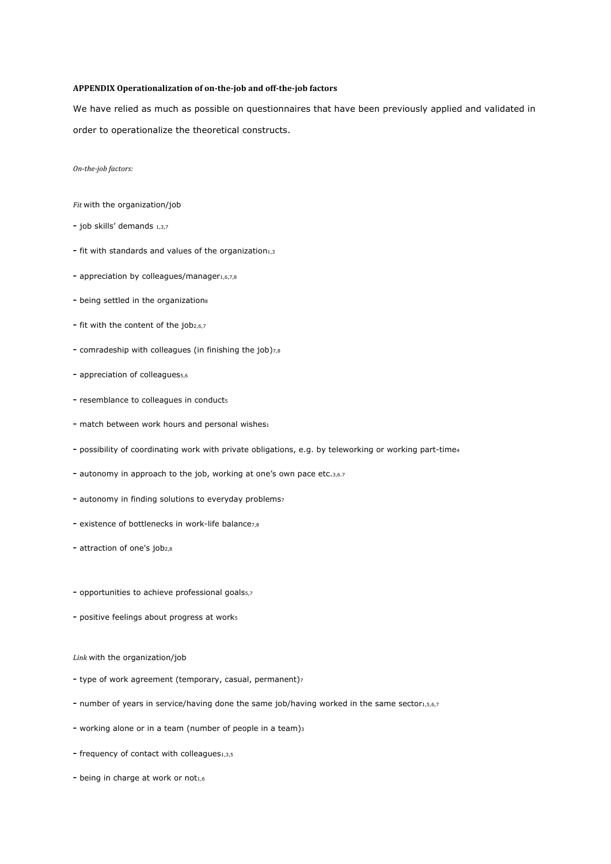## **APPENDIX Operationalization of on-the-job and off-the-job factors**

We have relied as much as possible on questionnaires that have been previously applied and validated in order to operationalize the theoretical constructs.

*On-the-job factors:*

*Fit* with the organization/job

- job skills' demands 1,3,7
- fit with standards and values of the organization $_{1,3}$
- appreciation by colleagues/manager $1,6,7,8$
- being settled in the organizations
- fit with the content of the job<sub>2,6,7</sub>
- comradeship with colleagues (in finishing the job)7,8
- appreciation of colleagues<sub>5,6</sub>
- resemblance to colleagues in conducts
- match between work hours and personal wishes $_1$
- possibility of coordinating work with private obligations, e.g. by teleworking or working part-time4
- autonomy in approach to the job, working at one's own pace etc.3,6.7
- autonomy in finding solutions to everyday problems7
- existence of bottlenecks in work-life balance<sub>7.8</sub>
- attraction of one's job<sub>2,8</sub>
- opportunities to achieve professional goals5,7
- positive feelings about progress at works
- *Link* with the organization/job
- type of work agreement (temporary, casual, permanent)<sup>7</sup>
- number of years in service/having done the same job/having worked in the same sector<sub>1,5,6,7</sub>
- working alone or in a team (number of people in a team)3
- frequency of contact with colleagues1,3,5
- being in charge at work or not $1,6$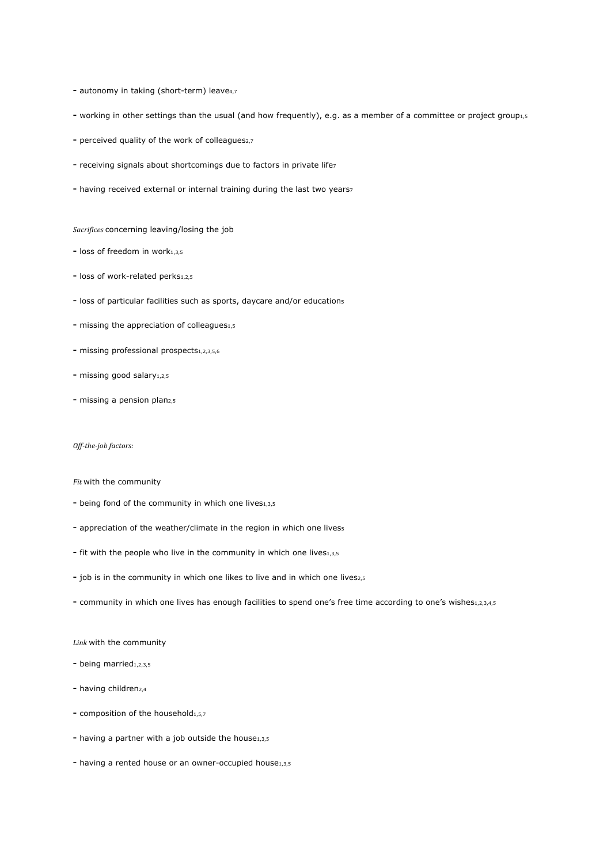- autonomy in taking (short-term) leave4,7
- working in other settings than the usual (and how frequently), e.g. as a member of a committee or project group1,5
- perceived quality of the work of colleagues<sub>2,7</sub>
- receiving signals about shortcomings due to factors in private lifez
- having received external or internal training during the last two years7

*Sacrifices* concerning leaving/losing the job

- $-$  loss of freedom in work $1.3.5$
- loss of work-related perks<sub>1,2,5</sub>
- loss of particular facilities such as sports, daycare and/or educations
- missing the appreciation of colleagues1,5
- missing professional prospects1,2,3,5,6
- missing good salary<sub>1,2,5</sub>
- missing a pension plan<sub>2,5</sub>

#### *Off-the-job factors:*

#### *Fit* with the community

- being fond of the community in which one lives $1,3,5$
- appreciation of the weather/climate in the region in which one livess
- fit with the people who live in the community in which one lives1,3,5
- job is in the community in which one likes to live and in which one lives2,5
- community in which one lives has enough facilities to spend one's free time according to one's wishes1,2,3,4,5

#### *Link* with the community

- being married1,2,3,5
- having children<sub>2,4</sub>
- composition of the household $_{1,5,7}$
- having a partner with a job outside the house $1,3,5$
- having a rented house or an owner-occupied house1,3,5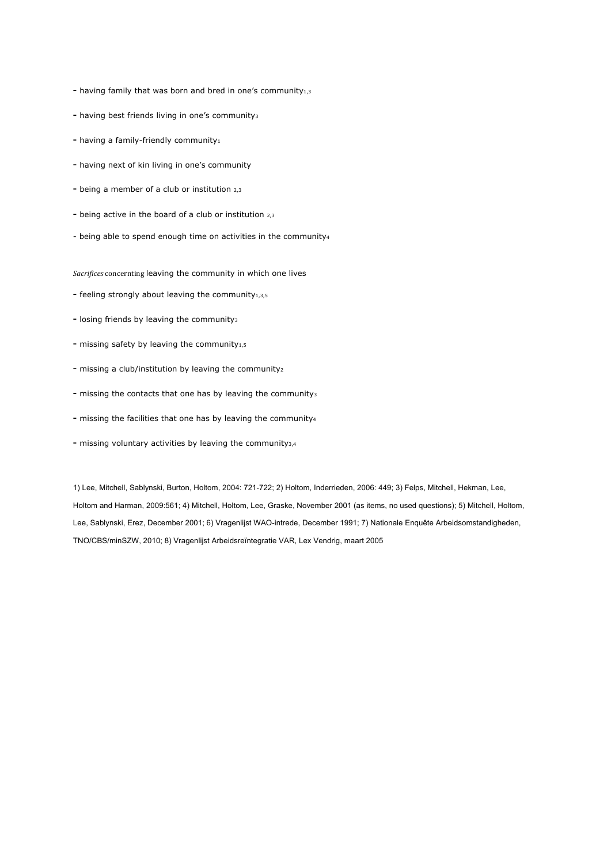- having family that was born and bred in one's community $_{1,3}$
- having best friends living in one's community3
- having a family-friendly community $_1$
- having next of kin living in one's community
- being a member of a club or institution 2,3
- being active in the board of a club or institution 2,3
- being able to spend enough time on activities in the community4

**Sacrifices** concernting leaving the community in which one lives

- feeling strongly about leaving the community $_{1,3,5}$
- losing friends by leaving the community<sub>3</sub>
- missing safety by leaving the community $_{1,5}$
- missing a club/institution by leaving the community2
- missing the contacts that one has by leaving the community3
- missing the facilities that one has by leaving the community4
- missing voluntary activities by leaving the community<sub>3,4</sub>

1) Lee, Mitchell, Sablynski, Burton, Holtom, 2004: 721-722; 2) Holtom, Inderrieden, 2006: 449; 3) Felps, Mitchell, Hekman, Lee, Holtom and Harman, 2009:561; 4) Mitchell, Holtom, Lee, Graske, November 2001 (as items, no used questions); 5) Mitchell, Holtom, Lee, Sablynski, Erez, December 2001; 6) Vragenlijst WAO-intrede, December 1991; 7) Nationale Enquête Arbeidsomstandigheden, TNO/CBS/minSZW, 2010; 8) Vragenlijst Arbeidsreïntegratie VAR, Lex Vendrig, maart 2005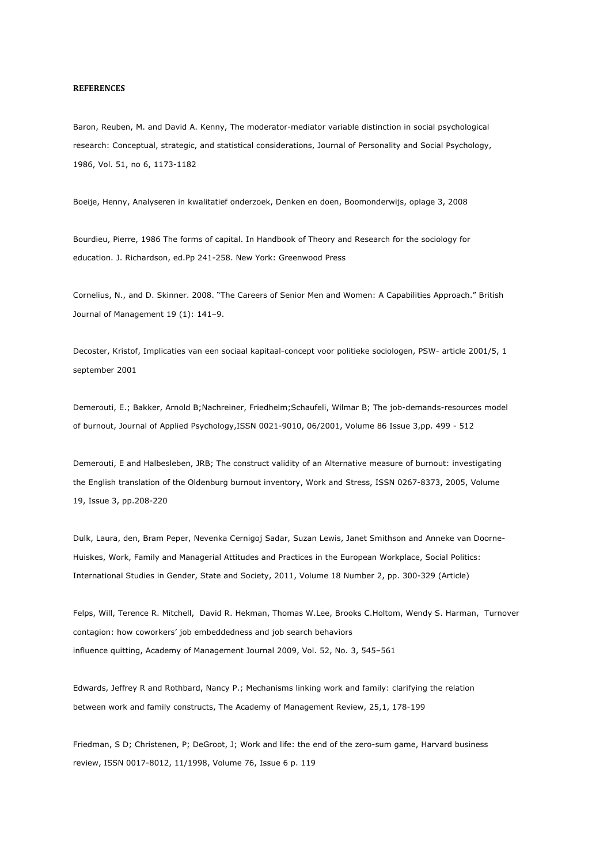## **REFERENCES**

Baron, Reuben, M. and David A. Kenny, The moderator-mediator variable distinction in social psychological research: Conceptual, strategic, and statistical considerations, Journal of Personality and Social Psychology, 1986, Vol. 51, no 6, 1173-1182

Boeije, Henny, Analyseren in kwalitatief onderzoek, Denken en doen, Boomonderwijs, oplage 3, 2008

Bourdieu, Pierre, 1986 The forms of capital. In Handbook of Theory and Research for the sociology for education. J. Richardson, ed.Pp 241-258. New York: Greenwood Press

Cornelius, N., and D. Skinner. 2008. "The Careers of Senior Men and Women: A Capabilities Approach." British Journal of Management 19 (1): 141–9.

Decoster, Kristof, Implicaties van een sociaal kapitaal-concept voor politieke sociologen, PSW- article 2001/5, 1 september 2001

Demerouti, E.; Bakker, Arnold B;Nachreiner, Friedhelm;Schaufeli, Wilmar B; The job-demands-resources model of burnout, Journal of Applied Psychology,ISSN 0021-9010, 06/2001, Volume 86 Issue 3,pp. 499 - 512

Demerouti, E and Halbesleben, JRB; The construct validity of an Alternative measure of burnout: investigating the English translation of the Oldenburg burnout inventory, Work and Stress, ISSN 0267-8373, 2005, Volume 19, Issue 3, pp.208-220

Dulk, Laura, den, Bram Peper, Nevenka Cernigoj Sadar, Suzan Lewis, Janet Smithson and Anneke van Doorne-Huiskes, Work, Family and Managerial Attitudes and Practices in the European Workplace, Social Politics: International Studies in Gender, State and Society, 2011, Volume 18 Number 2, pp. 300-329 (Article)

Felps, Will, Terence R. Mitchell, David R. Hekman, Thomas W.Lee, Brooks C.Holtom, Wendy S. Harman, Turnover contagion: how coworkers' job embeddedness and job search behaviors influence quitting, Academy of Management Journal 2009, Vol. 52, No. 3, 545–561

Edwards, Jeffrey R and Rothbard, Nancy P.; Mechanisms linking work and family: clarifying the relation between work and family constructs, The Academy of Management Review, 25,1, 178-199

Friedman, S D; Christenen, P; DeGroot, J; Work and life: the end of the zero-sum game, Harvard business review, ISSN 0017-8012, 11/1998, Volume 76, Issue 6 p. 119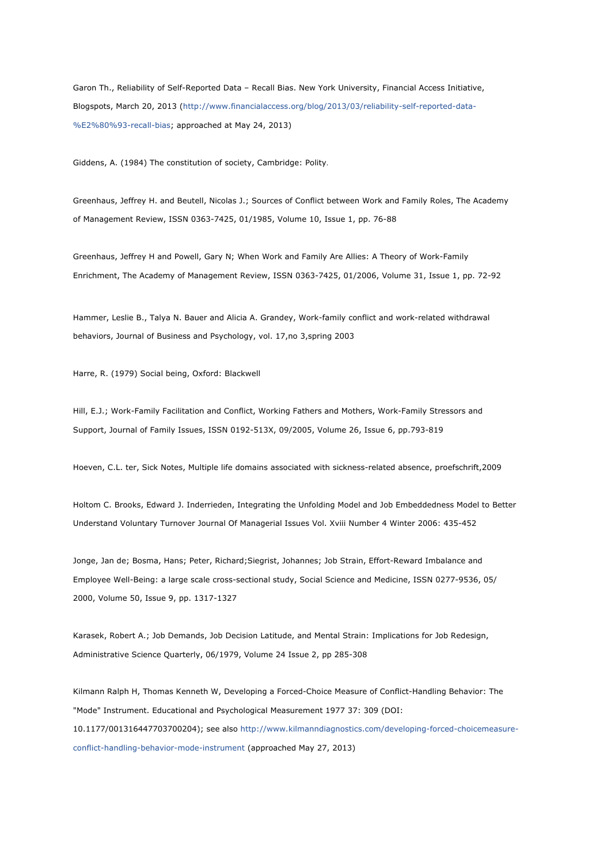Garon Th., Reliability of Self-Reported Data – Recall Bias. New York University, Financial Access Initiative, Blogspots, March 20, 2013 (http://www.financialaccess.org/blog/2013/03/reliability-self-reported-data- %E2%80%93-recall-bias; approached at May 24, 2013)

Giddens, A. (1984) The constitution of society, Cambridge: Polity.

Greenhaus, Jeffrey H. and Beutell, Nicolas J.; Sources of Conflict between Work and Family Roles, The Academy of Management Review, ISSN 0363-7425, 01/1985, Volume 10, Issue 1, pp. 76-88

Greenhaus, Jeffrey H and Powell, Gary N; When Work and Family Are Allies: A Theory of Work-Family Enrichment, The Academy of Management Review, ISSN 0363-7425, 01/2006, Volume 31, Issue 1, pp. 72-92

Hammer, Leslie B., Talya N. Bauer and Alicia A. Grandey, Work-family conflict and work-related withdrawal behaviors, Journal of Business and Psychology, vol. 17,no 3,spring 2003

Harre, R. (1979) Social being, Oxford: Blackwell

Hill, E.J.; Work-Family Facilitation and Conflict, Working Fathers and Mothers, Work-Family Stressors and Support, Journal of Family Issues, ISSN 0192-513X, 09/2005, Volume 26, Issue 6, pp.793-819

Hoeven, C.L. ter, Sick Notes, Multiple life domains associated with sickness-related absence, proefschrift,2009

Holtom C. Brooks, Edward J. Inderrieden, Integrating the Unfolding Model and Job Embeddedness Model to Better Understand Voluntary Turnover Journal Of Managerial Issues Vol. Xviii Number 4 Winter 2006: 435-452

Jonge, Jan de; Bosma, Hans; Peter, Richard;Siegrist, Johannes; Job Strain, Effort-Reward Imbalance and Employee Well-Being: a large scale cross-sectional study, Social Science and Medicine, ISSN 0277-9536, 05/ 2000, Volume 50, Issue 9, pp. 1317-1327

Karasek, Robert A.; Job Demands, Job Decision Latitude, and Mental Strain: Implications for Job Redesign, Administrative Science Quarterly, 06/1979, Volume 24 Issue 2, pp 285-308

Kilmann Ralph H, Thomas Kenneth W, Developing a Forced-Choice Measure of Conflict-Handling Behavior: The "Mode" Instrument. Educational and Psychological Measurement 1977 37: 309 (DOI: 10.1177/001316447703700204); see also http://www.kilmanndiagnostics.com/developing-forced-choicemeasureconflict-handling-behavior-mode-instrument (approached May 27, 2013)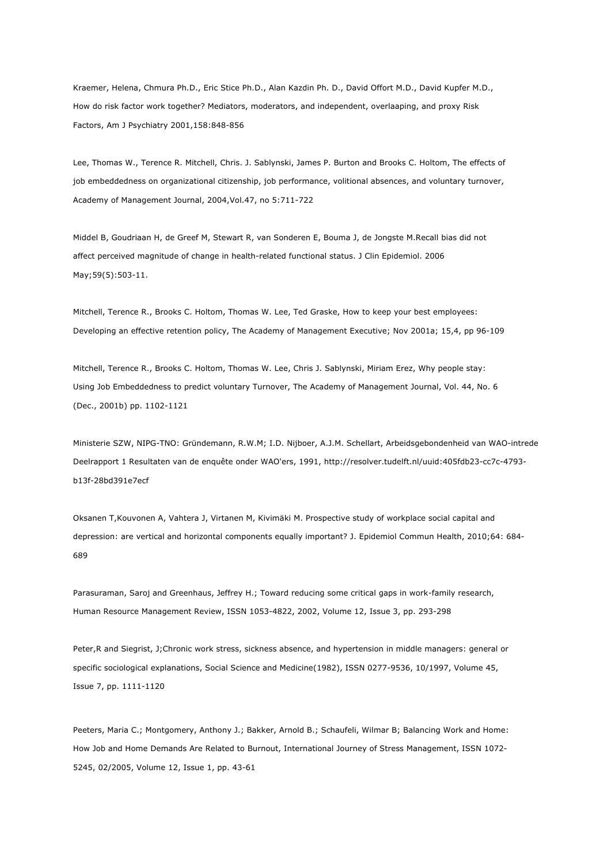Kraemer, Helena, Chmura Ph.D., Eric Stice Ph.D., Alan Kazdin Ph. D., David Offort M.D., David Kupfer M.D., How do risk factor work together? Mediators, moderators, and independent, overlaaping, and proxy Risk Factors, Am J Psychiatry 2001,158:848-856

Lee, Thomas W., Terence R. Mitchell, Chris. J. Sablynski, James P. Burton and Brooks C. Holtom, The effects of job embeddedness on organizational citizenship, job performance, volitional absences, and voluntary turnover, Academy of Management Journal, 2004,Vol.47, no 5:711-722

Middel B, Goudriaan H, de Greef M, Stewart R, van Sonderen E, Bouma J, de Jongste M.Recall bias did not affect perceived magnitude of change in health-related functional status. J Clin Epidemiol. 2006 May;59(5):503-11.

Mitchell, Terence R., Brooks C. Holtom, Thomas W. Lee, Ted Graske, How to keep your best employees: Developing an effective retention policy, The Academy of Management Executive; Nov 2001a; 15,4, pp 96-109

Mitchell, Terence R., Brooks C. Holtom, Thomas W. Lee, Chris J. Sablynski, Miriam Erez, Why people stay: Using Job Embeddedness to predict voluntary Turnover, The Academy of Management Journal, Vol. 44, No. 6 (Dec., 2001b) pp. 1102-1121

Ministerie SZW, NIPG-TNO: Gründemann, R.W.M; I.D. Nijboer, A.J.M. Schellart, Arbeidsgebondenheid van WAO-intrede Deelrapport 1 Resultaten van de enquête onder WAO'ers, 1991, http://resolver.tudelft.nl/uuid:405fdb23-cc7c-4793 b13f-28bd391e7ecf

Oksanen T,Kouvonen A, Vahtera J, Virtanen M, Kivimäki M. Prospective study of workplace social capital and depression: are vertical and horizontal components equally important? J. Epidemiol Commun Health, 2010;64: 684- 689

Parasuraman, Saroj and Greenhaus, Jeffrey H.; Toward reducing some critical gaps in work-family research, Human Resource Management Review, ISSN 1053-4822, 2002, Volume 12, Issue 3, pp. 293-298

Peter,R and Siegrist, J;Chronic work stress, sickness absence, and hypertension in middle managers: general or specific sociological explanations, Social Science and Medicine(1982), ISSN 0277-9536, 10/1997, Volume 45, Issue 7, pp. 1111-1120

Peeters, Maria C.; Montgomery, Anthony J.; Bakker, Arnold B.; Schaufeli, Wilmar B; Balancing Work and Home: How Job and Home Demands Are Related to Burnout, International Journey of Stress Management, ISSN 1072- 5245, 02/2005, Volume 12, Issue 1, pp. 43-61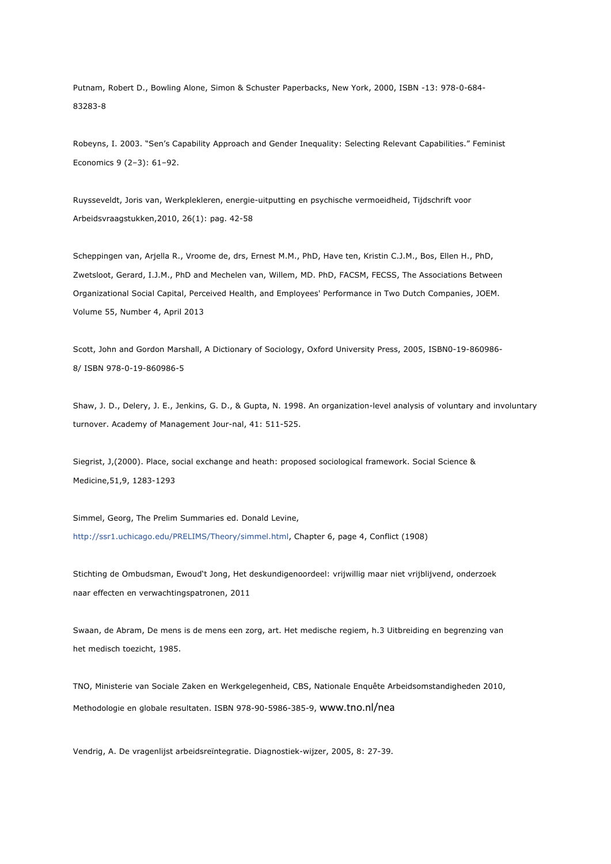Putnam, Robert D., Bowling Alone, Simon & Schuster Paperbacks, New York, 2000, ISBN -13: 978-0-684- 83283-8

Robeyns, I. 2003. "Sen's Capability Approach and Gender Inequality: Selecting Relevant Capabilities." Feminist Economics 9 (2–3): 61–92.

Ruysseveldt, Joris van, Werkplekleren, energie-uitputting en psychische vermoeidheid, Tijdschrift voor Arbeidsvraagstukken,2010, 26(1): pag. 42-58

Scheppingen van, Arjella R., Vroome de, drs, Ernest M.M., PhD, Have ten, Kristin C.J.M., Bos, Ellen H., PhD, Zwetsloot, Gerard, I.J.M., PhD and Mechelen van, Willem, MD. PhD, FACSM, FECSS, The Associations Between Organizational Social Capital, Perceived Health, and Employees' Performance in Two Dutch Companies, JOEM. Volume 55, Number 4, April 2013

Scott, John and Gordon Marshall, A Dictionary of Sociology, Oxford University Press, 2005, ISBN0-19-860986- 8/ ISBN 978-0-19-860986-5

Shaw, J. D., Delery, J. E., Jenkins, G. D., & Gupta, N. 1998. An organization-level analysis of voluntary and involuntary turnover. Academy of Management Jour-nal, 41: 511-525.

Siegrist, J,(2000). Place, social exchange and heath: proposed sociological framework. Social Science & Medicine,51,9, 1283-1293

Simmel, Georg, The Prelim Summaries ed. Donald Levine, http://ssr1.uchicago.edu/PRELIMS/Theory/simmel.html, Chapter 6, page 4, Conflict (1908)

Stichting de Ombudsman, Ewoud't Jong, Het deskundigenoordeel: vrijwillig maar niet vrijblijvend, onderzoek naar effecten en verwachtingspatronen, 2011

Swaan, de Abram, De mens is de mens een zorg, art. Het medische regiem, h.3 Uitbreiding en begrenzing van het medisch toezicht, 1985.

TNO, Ministerie van Sociale Zaken en Werkgelegenheid, CBS, Nationale Enquête Arbeidsomstandigheden 2010, Methodologie en globale resultaten. ISBN 978-90-5986-385-9, www.tno.nl/nea

Vendrig, A. De vragenlijst arbeidsreïntegratie. Diagnostiek-wijzer, 2005, 8: 27-39.